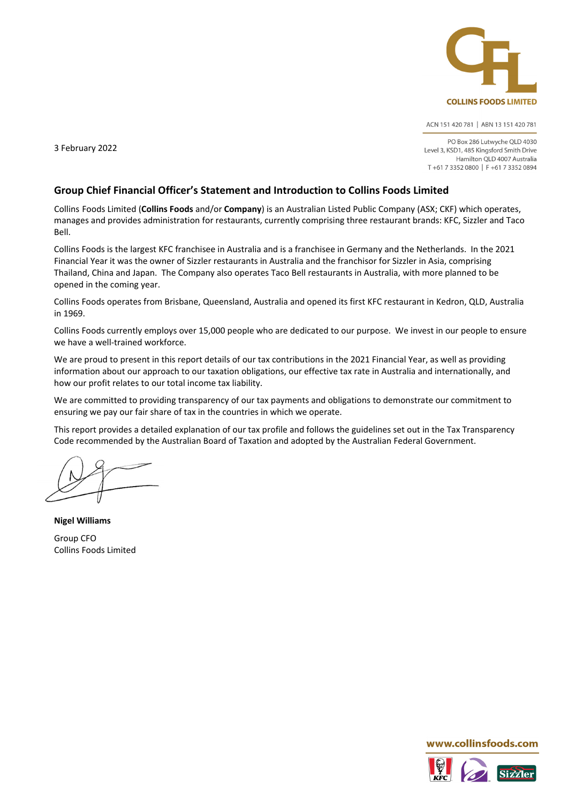

ACN 151 420 781 | ABN 13 151 420 781

PO Box 286 Lutwyche QLD 4030 Level 3, KSD1, 485 Kingsford Smith Drive Hamilton OLD 4007 Australia T+61 7 3352 0800 | F+61 7 3352 0894

3 February 2022

#### **Group Chief Financial Officer's Statement and Introduction to Collins Foods Limited**

Collins Foods Limited (**Collins Foods** and/or **Company**) is an Australian Listed Public Company (ASX; CKF) which operates, manages and provides administration for restaurants, currently comprising three restaurant brands: KFC, Sizzler and Taco Bell.

Collins Foods is the largest KFC franchisee in Australia and is a franchisee in Germany and the Netherlands. In the 2021 Financial Year it was the owner of Sizzler restaurants in Australia and the franchisor for Sizzler in Asia, comprising Thailand, China and Japan. The Company also operates Taco Bell restaurants in Australia, with more planned to be opened in the coming year.

Collins Foods operates from Brisbane, Queensland, Australia and opened its first KFC restaurant in Kedron, QLD, Australia in 1969.

Collins Foods currently employs over 15,000 people who are dedicated to our purpose. We invest in our people to ensure we have a well-trained workforce.

We are proud to present in this report details of our tax contributions in the 2021 Financial Year, as well as providing information about our approach to our taxation obligations, our effective tax rate in Australia and internationally, and how our profit relates to our total income tax liability.

We are committed to providing transparency of our tax payments and obligations to demonstrate our commitment to ensuring we pay our fair share of tax in the countries in which we operate.

This report provides a detailed explanation of our tax profile and follows the guidelines set out in the Tax Transparency Code recommended by the Australian Board of Taxation and adopted by the Australian Federal Government.

**Nigel Williams** Group CFO Collins Foods Limited

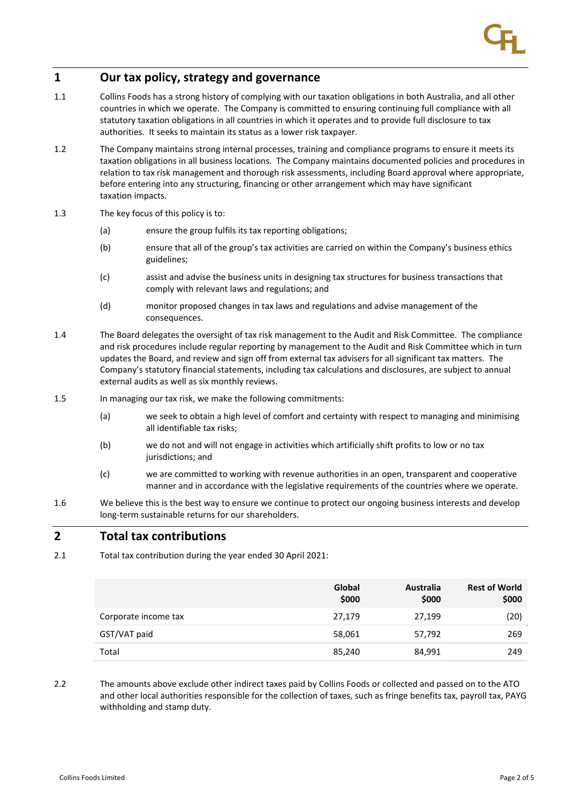## **1 Our tax policy, strategy and governance**

- 1.1 Collins Foods has a strong history of complying with our taxation obligations in both Australia, and all other countries in which we operate. The Company is committed to ensuring continuing full compliance with all statutory taxation obligations in all countries in which it operates and to provide full disclosure to tax authorities. It seeks to maintain its status as a lower risk taxpayer.
- 1.2 The Company maintains strong internal processes, training and compliance programs to ensure it meets its taxation obligations in all business locations. The Company maintains documented policies and procedures in relation to tax risk management and thorough risk assessments, including Board approval where appropriate, before entering into any structuring, financing or other arrangement which may have significant taxation impacts.
- 1.3 The key focus of this policy is to:
	- (a) ensure the group fulfils its tax reporting obligations;
	- (b) ensure that all of the group's tax activities are carried on within the Company's business ethics guidelines;
	- (c) assist and advise the business units in designing tax structures for business transactions that comply with relevant laws and regulations; and
	- (d) monitor proposed changes in tax laws and regulations and advise management of the consequences.
- 1.4 The Board delegates the oversight of tax risk management to the Audit and Risk Committee. The compliance and risk procedures include regular reporting by management to the Audit and Risk Committee which in turn updates the Board, and review and sign off from external tax advisers for all significant tax matters. The Company's statutory financial statements, including tax calculations and disclosures, are subject to annual external audits as well as six monthly reviews.
- 1.5 In managing our tax risk, we make the following commitments:
	- (a) we seek to obtain a high level of comfort and certainty with respect to managing and minimising all identifiable tax risks;
	- (b) we do not and will not engage in activities which artificially shift profits to low or no tax jurisdictions; and
	- (c) we are committed to working with revenue authorities in an open, transparent and cooperative manner and in accordance with the legislative requirements of the countries where we operate.
- 1.6 We believe this is the best way to ensure we continue to protect our ongoing business interests and develop long‐term sustainable returns for our shareholders.

### **2 Total tax contributions**

2.1 Total tax contribution during the year ended 30 April 2021:

|                      | Global<br>\$000 | <b>Australia</b><br>\$000 | <b>Rest of World</b><br>\$000 |
|----------------------|-----------------|---------------------------|-------------------------------|
| Corporate income tax | 27.179          | 27,199                    | (20)                          |
| GST/VAT paid         | 58,061          | 57,792                    | 269                           |
| Total                | 85,240          | 84,991                    | 249                           |

2.2 The amounts above exclude other indirect taxes paid by Collins Foods or collected and passed on to the ATO and other local authorities responsible for the collection of taxes, such as fringe benefits tax, payroll tax, PAYG withholding and stamp duty.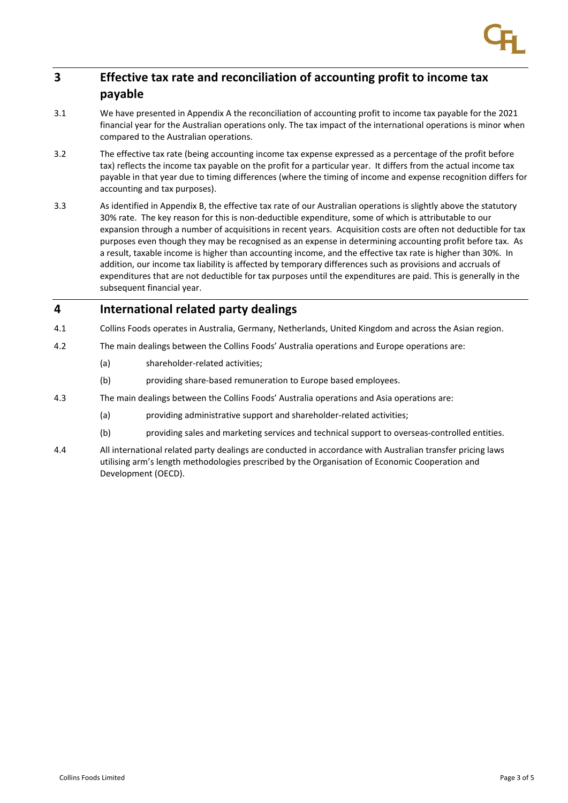## **3 Effective tax rate and reconciliation of accounting profit to income tax payable**

- 3.1 We have presented in Appendix A the reconciliation of accounting profit to income tax payable for the 2021 financial year for the Australian operations only. The tax impact of the international operations is minor when compared to the Australian operations.
- 3.2 The effective tax rate (being accounting income tax expense expressed as a percentage of the profit before tax) reflects the income tax payable on the profit for a particular year. It differs from the actual income tax payable in that year due to timing differences (where the timing of income and expense recognition differs for accounting and tax purposes).
- 3.3 As identified in Appendix B, the effective tax rate of our Australian operations is slightly above the statutory 30% rate. The key reason for this is non‐deductible expenditure, some of which is attributable to our expansion through a number of acquisitions in recent years. Acquisition costs are often not deductible for tax purposes even though they may be recognised as an expense in determining accounting profit before tax. As a result, taxable income is higher than accounting income, and the effective tax rate is higher than 30%. In addition, our income tax liability is affected by temporary differences such as provisions and accruals of expenditures that are not deductible for tax purposes until the expenditures are paid. This is generally in the subsequent financial year.

## **4 International related party dealings**

- 4.1 Collins Foods operates in Australia, Germany, Netherlands, United Kingdom and across the Asian region.
- 4.2 The main dealings between the Collins Foods' Australia operations and Europe operations are:
	- (a) shareholder‐related activities;
	- (b) providing share‐based remuneration to Europe based employees.
- 4.3 The main dealings between the Collins Foods' Australia operations and Asia operations are:
	- (a) providing administrative support and shareholder-related activities;
	- (b) providing sales and marketing services and technical support to overseas-controlled entities.
- 4.4 All international related party dealings are conducted in accordance with Australian transfer pricing laws utilising arm's length methodologies prescribed by the Organisation of Economic Cooperation and Development (OECD).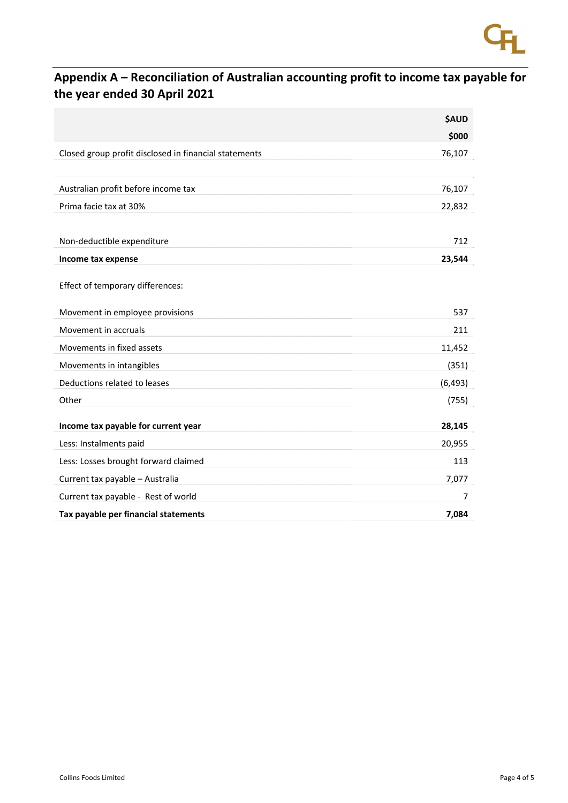## **Appendix A – Reconciliation of Australian accounting profit to income tax payable for the year ended 30 April 2021**

|                                                       | <b>\$AUD</b> |
|-------------------------------------------------------|--------------|
|                                                       | \$000        |
| Closed group profit disclosed in financial statements | 76,107       |
|                                                       |              |
| Australian profit before income tax                   | 76,107       |
| Prima facie tax at 30%                                | 22,832       |
|                                                       |              |
| Non-deductible expenditure                            | 712          |
| Income tax expense                                    | 23,544       |
| Effect of temporary differences:                      |              |
|                                                       |              |
| Movement in employee provisions                       | 537          |
| Movement in accruals                                  | 211          |
| Movements in fixed assets                             | 11,452       |
| Movements in intangibles                              | (351)        |
| Deductions related to leases                          | (6, 493)     |
| Other                                                 | (755)        |
|                                                       |              |
| Income tax payable for current year                   | 28,145       |
| Less: Instalments paid                                | 20,955       |
| Less: Losses brought forward claimed                  | 113          |
| Current tax payable - Australia                       | 7,077        |
| Current tax payable - Rest of world                   | 7            |
| Tax payable per financial statements                  | 7,084        |